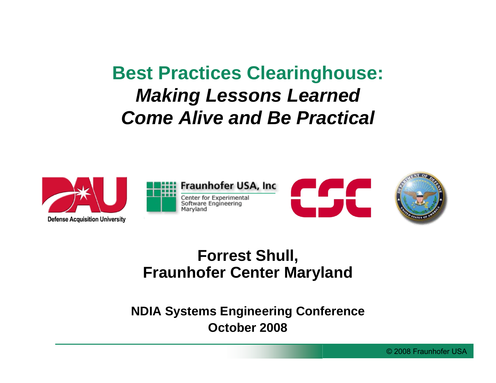### **Best Practices Clearinghouse:** *Making Lessons Learned Come Alive and Be Practical*



#### **Forrest Shull, Fraunhofer Center Maryland**

#### **NDIA Systems Engineering Conference October 2008**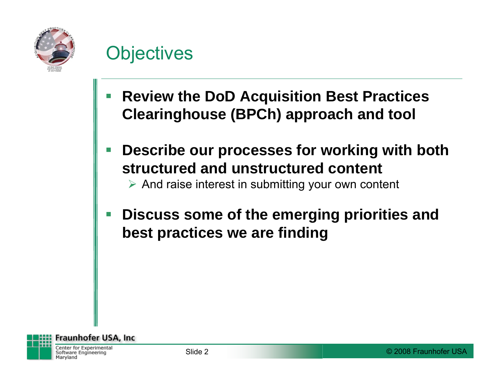

### **Objectives**

- **Review the DoD Acquisition Best Practices Clearinghouse (BPCh) approach and tool**
- **Describe our processes for working with both structured and unstructured content**

 $\triangleright$  And raise interest in submitting your own content

F **Discuss some of the emerging priorities and best practices we are finding**

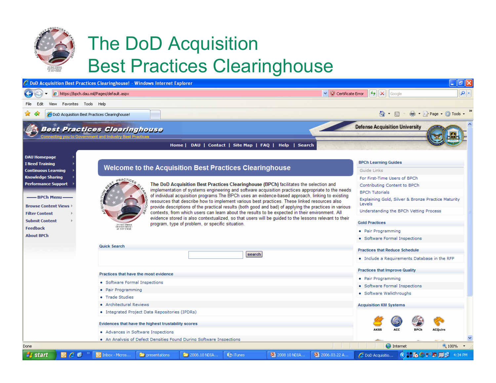

Done

**A** start

EΘ

# The DoD Acquisition Best Practices Clearinghouse



**information**<br> **information** 

**C** DoD Acquisitio...

**O** Internet

**ACQuire** 

) ミネ の ご め ロ ア

 $4100%$ 

· Software Walkthroughs

**a a community a community a community a community a community a c** 

O Inbox - Micros...

**provided a Secular Accounts Acquisition KM Systems**<br> **providences** that have the highest trustability scores<br> **Evidences that have the highest trustability scores** 

presentations

- Advances in Software Inspections
- . An Analysis of Defect Densities Found During Software Inspections

2008.10 NDIA..

**D** iTunes

图 2008 10 NDIA...

2 2006.03.22 A.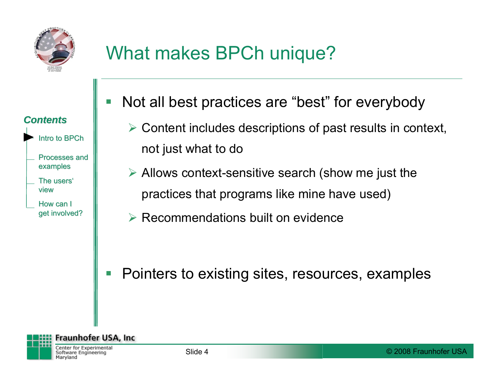

# What makes BPCh unique?

| <b>Contents</b>                  |  |
|----------------------------------|--|
| Intro to BPCh                    |  |
| <b>Processes and</b><br>examples |  |
| The users'<br>view               |  |
| How can I<br>get involved?       |  |

- Not all best practices are "best" for everybody
	- $\triangleright$  Content includes descriptions of past results in context, not just what to do
	- $\triangleright$  Allows context-sensitive search (show me just the practices that programs like mine have used)
	- $\triangleright$  Recommendations built on evidence

F Pointers to existing sites, resources, examples

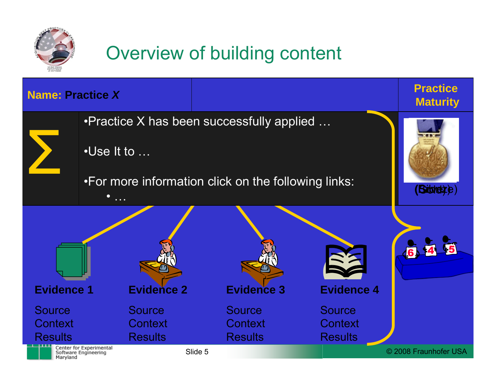

# Overview of building content

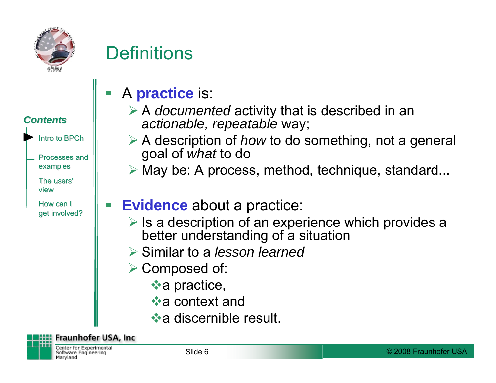

## **Definitions**



- **\*a** practice,
- $\star$ a context and
- **\*a discernible result.**

#### **Fraunhofer USA, Inc.**

Center for Experimental Software Engineering Maryland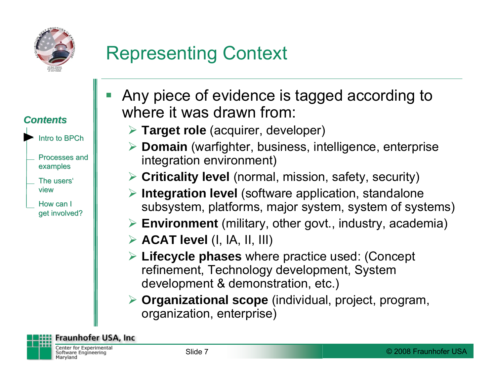

# Representing Context



- refinement, Technology development, System development & demonstration, etc.)
- ¾ **Organizational scope** (individual, project, program, organization, enterprise)

**Fraunhofer USA, Inc.** 

Center for Experimental Software Engineering Maryland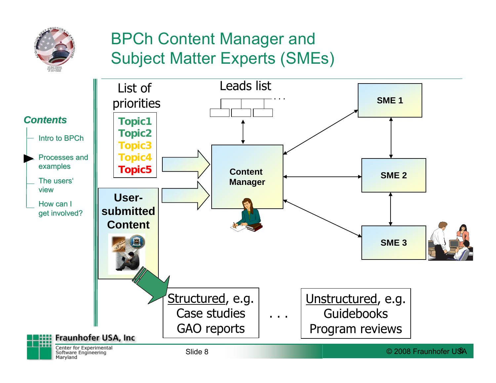

#### BPCh Content Manager and Subject Matter Experts (SMEs)

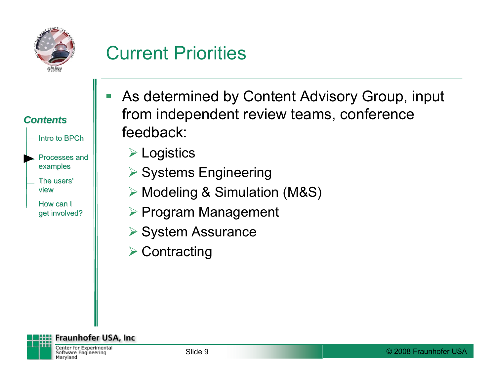

## Current Priorities

|  |  | <b>Contents</b> |  |
|--|--|-----------------|--|
|  |  |                 |  |

Intro to BPCh

Processes andexamples

The users' view

How can I get involved?

- As determined by Content Advisory Group, input from independent review teams, conference feedback:
	- ¾ Logistics
	- **▶ Systems Engineering**
	- ¾ Modeling & Simulation (M&S)
	- ¾ Program Management
	- **▶ System Assurance**
	- **▶ Contracting**

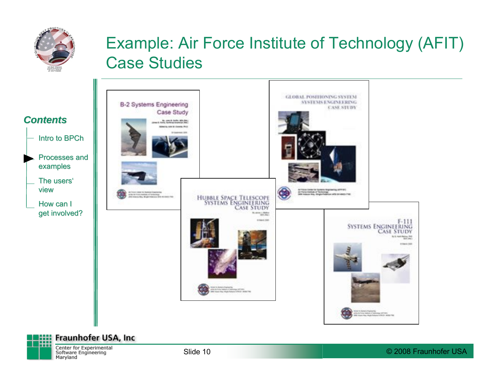

#### Example: Air Force Institute of Technology (AFIT) Case Studies





Center for Experimental Software Engineering Maryland

Slide 10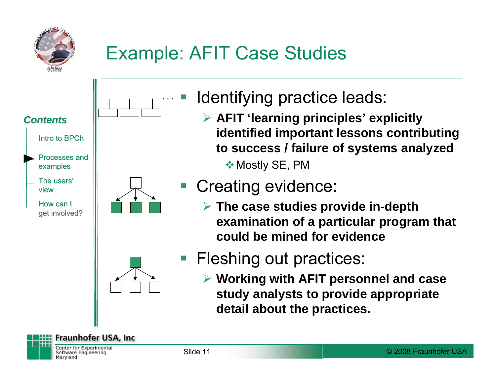

# Example: AFIT Case Studies



- Identifying practice leads:
	- ¾ **AFIT 'learning principles' explicitly identified important lessons contributing to success / failure of systems analyzed ❖ Mostly SE, PM**

### Creating evidence:

¾ **The case studies provide in-depth examination of a particular program that could be mined for evidence**



- **Fleshing out practices:** 
	- ¾ **Working with AFIT personnel and case study analysts to provide appropriate detail about the practices.**

**Fraunhofer USA, Inc.**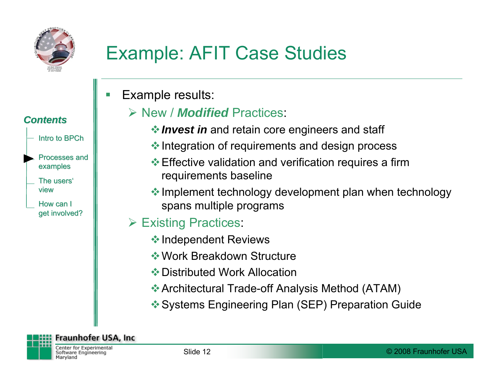

# Example: AFIT Case Studies

F Example results:

#### ¾ New / *Modified* Practices:

- *❖ Invest in* and retain core engineers and staff
- $\triangleq$  Integration of requirements and design process
- **Effective validation and verification requires a firm** requirements baseline
- $\triangleq$  Implement technology development plan when technology spans multiple programs
- **► Existing Practices:** 
	- **External Propendent Reviews**
	- Work Breakdown Structure
	- **❖ Distributed Work Allocation**
	- Architectural Trade-off Analysis Method (ATAM)
	- Systems Engineering Plan (SEP) Preparation Guide

#### *Contents Contents*

- Intro to BPCh
- Processes andexamples
- The users' view
- How can I get involved?

**Fraunhofer USA, Inc.** Center for Experimental

Software Engineering Maryland

© 2008 Fraunhofer USA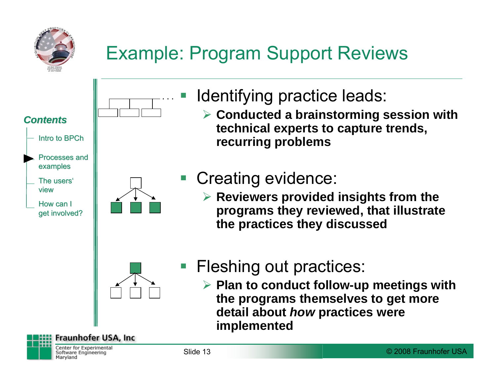

# Example: Program Support Reviews



- **Service Service**  Identifying practice leads:
	- ¾ **Conducted a brainstorming session with technical experts to capture trends, recurring problems**

### Creating evidence:

¾ **Reviewers provided insights from the programs they reviewed, that illustrate the practices they discussed**



### **Fleshing out practices:**

¾ **Plan to conduct follow-up meetings with the programs themselves to get more detail about** *how* **practices were implemented**

Center for Experimental Software Engineering Maryland

**Fraunhofer USA, Inc.**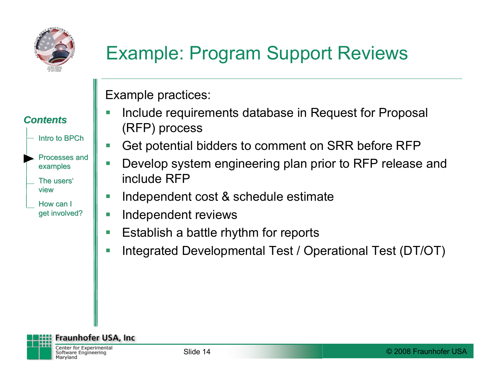

*Contents Contents*

Intro to BPCh

Processes and

examples

The users'

How can I get involved?

view

# Example: Program Support Reviews

Example practices:

- F Include requirements database in Request for Proposal (RFP) process
- l. Get potential bidders to comment on SRR before RFP
- Develop system engineering plan prior to RFP release and include RFP
- П Independent cost & schedule estimate
- T. Independent reviews
- **I** Establish a battle rhythm for reports
- F Integrated Developmental Test / Operational Test (DT/OT)

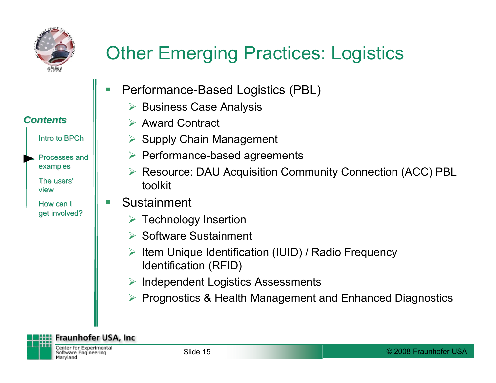

*Contents Contents*

Intro to BPCh

Processes andexamples

The users'

How can I get involved?

view

# Other Emerging Practices: Logistics

- F Performance-Based Logistics (PBL)
	- ¾Business Case Analysis
	- **► Award Contract**
	- $\triangleright$  Supply Chain Management
	- ¾ Performance-based agreements
	- ¾ Resource: DAU Acquisition Community Connection (ACC) PBL toolkit
- F Sustainment
	- $\triangleright$  Technology Insertion
	- **► Software Sustainment**
	- ¾ Item Unique Identification (IUID) / Radio Frequency Identification (RFID)
	- ¾Independent Logistics Assessments
	- ¾ Prognostics & Health Management and Enhanced Diagnostics

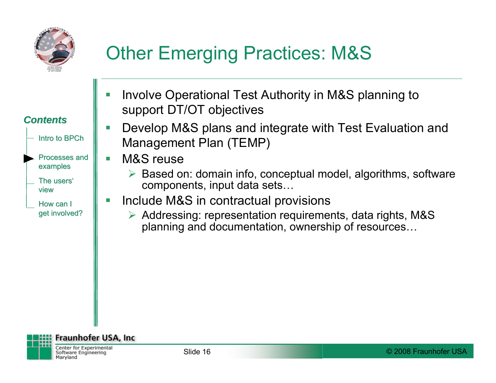

# Other Emerging Practices: M&S



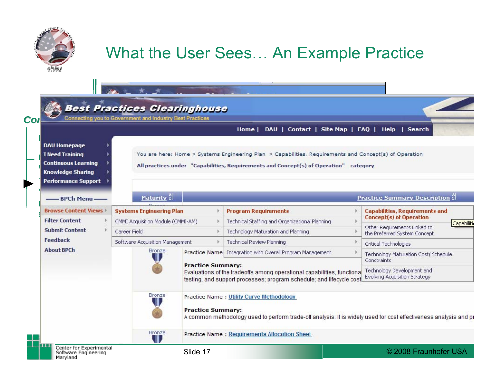

#### What the User Sees… An Example Practice

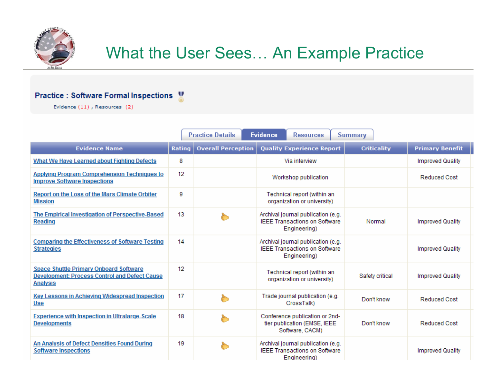

#### What the User Sees… An Example Practice

#### Practice : Software Formal Inspections

Evidence (11), Resources (2)

|                                                                                                                   |                 | <b>Practice Details</b>   | <b>Evidence</b><br><b>Resources</b>                                                        | <b>Summary</b>     |                         |
|-------------------------------------------------------------------------------------------------------------------|-----------------|---------------------------|--------------------------------------------------------------------------------------------|--------------------|-------------------------|
| <b>Evidence Name</b>                                                                                              | <b>Rating</b>   | <b>Overall Perception</b> | <b>Quality Experience Report</b>                                                           | <b>Criticality</b> | <b>Primary Benefit</b>  |
| What We Have Learned about Fighting Defects                                                                       | 8               |                           | Via interview                                                                              |                    | <b>Improved Quality</b> |
| <b>Applying Program Comprehension Techniques to</b><br><b>Improve Software Inspections</b>                        | 12 <sup>2</sup> |                           | Workshop publication                                                                       |                    | <b>Reduced Cost</b>     |
| Report on the Loss of the Mars Climate Orbiter<br><b>Mission</b>                                                  | 9               |                           | Technical report (within an<br>organization or university)                                 |                    |                         |
| The Empirical Investigation of Perspective-Based<br><b>Reading</b>                                                | 13              |                           | Archival journal publication (e.g.<br><b>IEEE Transactions on Software</b><br>Engineering) | Normal             | <b>Improved Quality</b> |
| <b>Comparing the Effectiveness of Software Testing</b><br><b>Strategies</b>                                       | 14              |                           | Archival journal publication (e.g.<br><b>IEEE Transactions on Software</b><br>Engineering) |                    | <b>Improved Quality</b> |
| <b>Space Shuttle Primary Onboard Software</b><br>Development: Process Control and Defect Cause<br><b>Analysis</b> | 12              |                           | Technical report (within an<br>organization or university)                                 | Safety critical    | <b>Improved Quality</b> |
| Key Lessons in Achieving Widespread Inspection<br>Use                                                             | 17              |                           | Trade journal publication (e.g.<br>CrossTalk)                                              | Don't know         | <b>Reduced Cost</b>     |
| <b>Experience with Inspection in Ultralarge-Scale</b><br><b>Developments</b>                                      | 18              |                           | Conference publication or 2nd-<br>tier publication (EMSE, IEEE<br>Software, CACM)          | Don't know         | <b>Reduced Cost</b>     |
| An Analysis of Defect Densities Found During<br><b>Software Inspections</b>                                       | 19              |                           | Archival journal publication (e.g.<br><b>IEEE Transactions on Software</b><br>Fngineering) |                    | <b>Improved Quality</b> |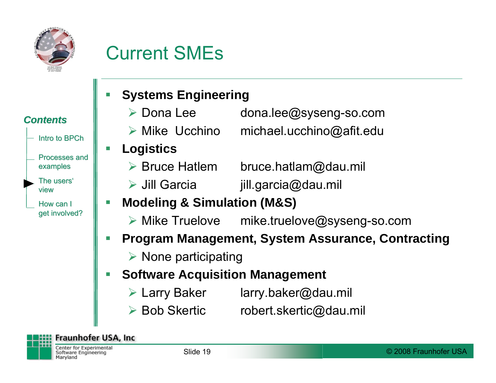

### Current SMEs

#### *Contents Contents*

- Intro to BPCh
- Processes andexamples
- The users' view
- How can I get involved?

#### F **Systems Engineering**

- **≻** Dona Lee dona.lee@syseng-so.com
- $\triangleright$  Mike Ucchino  $michael.ucchino@afit.edu$
- **Logistics**
	- ▶ Bruce Hatlem bruce.hatlam@dau.mil
	- **▶ Jill Garcia** jill.garcia@dau.mil
- F **Modeling & Simulation (M&S)**
	- $\triangleright$  Mike Truelove mike.truelove@syseng-so.com
- I. **Program Management, System Assurance, Contracting**
	- $\triangleright$  None participating
- F **Software Acquisition Management**
	- **► Larry Baker**  $larrow$ .baker@dau.mil
	- **≻ Bob Skertic** robert.skertic@dau.mil

**Fraunhofer USA, Inc.** 

Center for Experimental Software Engineering Maryland

© 2008 Fraunhofer USA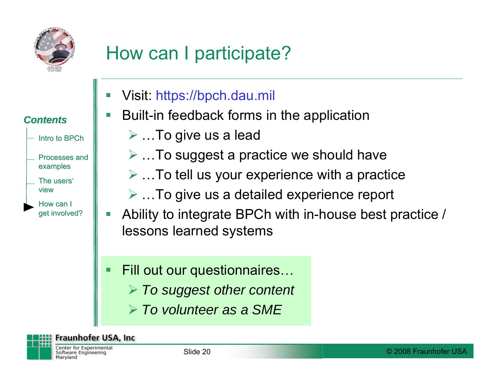

*Contents Contents*

Intro to BPCh

Processes and

examples

The users'

How can I get involved?

view

# How can I participate?

- Visit: https://bpch.dau.mil
- Built-in feedback forms in the application
	- ¾ …To give us a lead
	- $\triangleright$  ... To suggest a practice we should have
	- $\triangleright$  ... To tell us your experience with a practice
	- $\triangleright$  ... To give us a detailed experience report
- e<br>S Ability to integrate BPCh with in-house best practice / lessons learned systems
- Fill out our questionnaires…
	- ¾ *To suggest other content*
	- ¾ *To volunteer as a SME*

**Fraunhofer USA, Inc.** 

Center for Experimental Software Engineering Maryland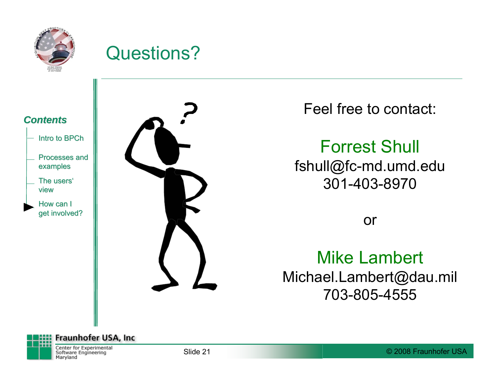

#### Questions?



- Processes andexamples
- The users' view
- How can I get involved?



Feel free to contact:

Forrest Shull fshull@fc-md.umd.edu 301-403-8970

or

#### Mike Lambert Michael.Lambert@dau.mil 703-805-4555